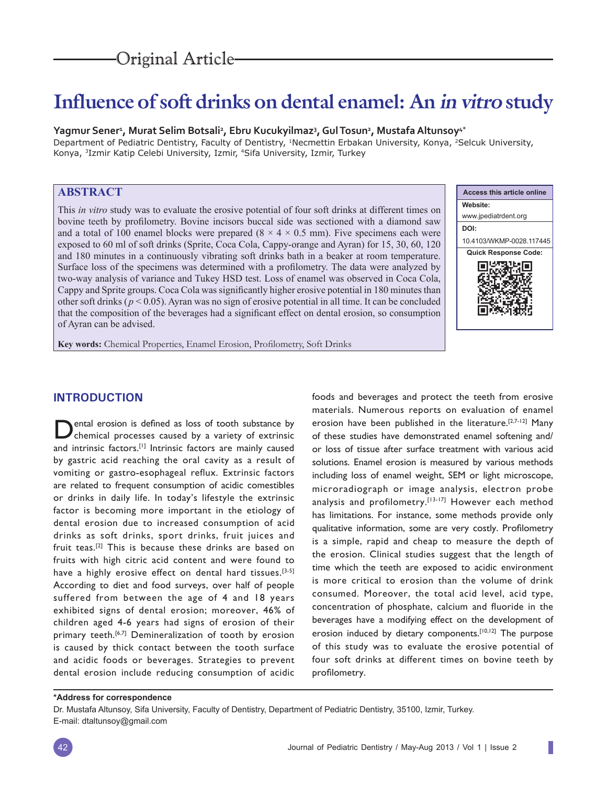# **Influence of soft drinks on dental enamel: An in vitro study**

## **Yagmur Sener<sup>1</sup> , Murat Selim Botsali<sup>2</sup> , Ebru Kucukyilmaz<sup>3</sup> , Gul Tosun<sup>2</sup> , Mustafa Altunsoy4\***

Department of Pediatric Dentistry, Faculty of Dentistry, <sup>1</sup>Necmettin Erbakan University, Konya, <sup>2</sup>Selcuk University, Konya, 3Izmir Katip Celebi University, Izmir, 4Sifa University, Izmir, Turkey

# **ABSTRACT**

This *in vitro* study was to evaluate the erosive potential of four soft drinks at different times on bovine teeth by profilometry. Bovine incisors buccal side was sectioned with a diamond saw and a total of 100 enamel blocks were prepared  $(8 \times 4 \times 0.5 \text{ mm})$ . Five specimens each were exposed to 60 ml of soft drinks (Sprite, Coca Cola, Cappy-orange and Ayran) for 15, 30, 60, 120 and 180 minutes in a continuously vibrating soft drinks bath in a beaker at room temperature. Surface loss of the specimens was determined with a profilometry. The data were analyzed by two-way analysis of variance and Tukey HSD test. Loss of enamel was observed in Coca Cola, Cappy and Sprite groups. Coca Cola was significantly higher erosive potential in 180 minutes than other soft drinks ( $p < 0.05$ ). Ayran was no sign of erosive potential in all time. It can be concluded that the composition of the beverages had a significant effect on dental erosion, so consumption of Ayran can be advised.



ı

**Key words:** Chemical Properties, Enamel Erosion, Profilometry, Soft Drinks

# **INTRODUCTION**

Dental erosion is defined as loss of tooth substance by chemical processes caused by a variety of extrinsic and intrinsic factors.<sup>[1]</sup> Intrinsic factors are mainly caused by gastric acid reaching the oral cavity as a result of vomiting or gastro-esophageal reflux. Extrinsic factors are related to frequent consumption of acidic comestibles or drinks in daily life. In today's lifestyle the extrinsic factor is becoming more important in the etiology of dental erosion due to increased consumption of acid drinks as soft drinks, sport drinks, fruit juices and fruit teas.[2] This is because these drinks are based on fruits with high citric acid content and were found to have a highly erosive effect on dental hard tissues.<sup>[3-5]</sup> According to diet and food surveys, over half of people suffered from between the age of 4 and 18 years exhibited signs of dental erosion; moreover, 46% of children aged 4-6 years had signs of erosion of their primary teeth.<sup>[6,7]</sup> Demineralization of tooth by erosion is caused by thick contact between the tooth surface and acidic foods or beverages. Strategies to prevent dental erosion include reducing consumption of acidic

foods and beverages and protect the teeth from erosive materials. Numerous reports on evaluation of enamel erosion have been published in the literature.[2,7-12] Many of these studies have demonstrated enamel softening and/ or loss of tissue after surface treatment with various acid solutions. Enamel erosion is measured by various methods including loss of enamel weight, SEM or light microscope, microradiograph or image analysis, electron probe analysis and profilometry.<sup>[13-17]</sup> However each method has limitations. For instance, some methods provide only qualitative information, some are very costly. Profilometry is a simple, rapid and cheap to measure the depth of the erosion. Clinical studies suggest that the length of time which the teeth are exposed to acidic environment is more critical to erosion than the volume of drink consumed. Moreover, the total acid level, acid type, concentration of phosphate, calcium and fluoride in the beverages have a modifying effect on the development of erosion induced by dietary components.<sup>[10,12]</sup> The purpose of this study was to evaluate the erosive potential of four soft drinks at different times on bovine teeth by profilometry.

#### **\*Address for correspondence**

Dr. Mustafa Altunsoy, Sifa University, Faculty of Dentistry, Department of Pediatric Dentistry, 35100, Izmir, Turkey. E-mail: dtaltunsoy@gmail.com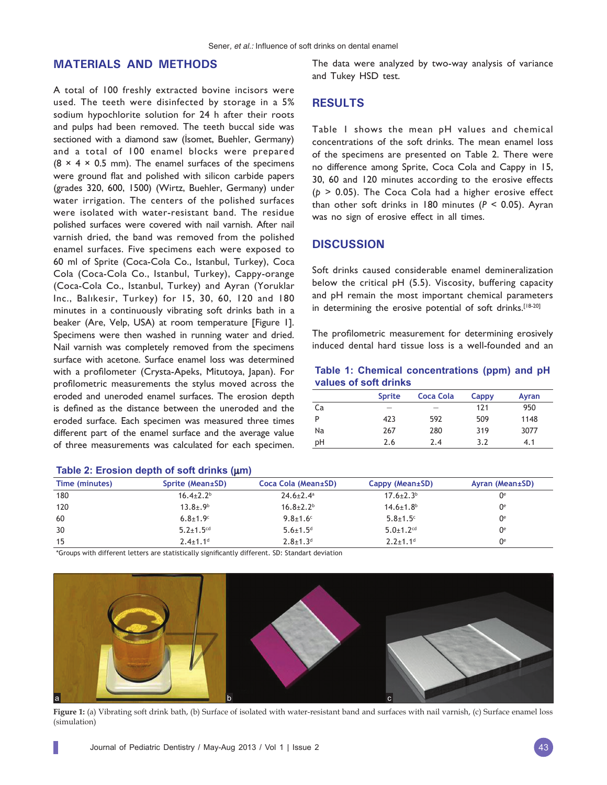# **MATERIALS AND METHODS**

A total of 100 freshly extracted bovine incisors were used. The teeth were disinfected by storage in a 5% sodium hypochlorite solution for 24 h after their roots and pulps had been removed. The teeth buccal side was sectioned with a diamond saw (İsomet, Buehler, Germany) and a total of 100 enamel blocks were prepared  $(8 \times 4 \times 0.5 \text{ mm})$ . The enamel surfaces of the specimens were ground flat and polished with silicon carbide papers (grades 320, 600, 1500) (Wirtz, Buehler, Germany) under water irrigation. The centers of the polished surfaces were isolated with water-resistant band. The residue polished surfaces were covered with nail varnish. After nail varnish dried, the band was removed from the polished enamel surfaces. Five specimens each were exposed to 60 ml of Sprite (Coca-Cola Co., Istanbul, Turkey), Coca Cola (Coca-Cola Co., Istanbul, Turkey), Cappy-orange (Coca-Cola Co., Istanbul, Turkey) and Ayran (Yoruklar Inc., Balıkesir, Turkey) for 15, 30, 60, 120 and 180 minutes in a continuously vibrating soft drinks bath in a beaker (Are, Velp, USA) at room temperature [Figure 1]. Specimens were then washed in running water and dried. Nail varnish was completely removed from the specimens surface with acetone. Surface enamel loss was determined with a profilometer (Crysta-Apeks, Mitutoya, Japan). For profilometric measurements the stylus moved across the eroded and uneroded enamel surfaces. The erosion depth is defined as the distance between the uneroded and the eroded surface. Each specimen was measured three times different part of the enamel surface and the average value of three measurements was calculated for each specimen.

The data were analyzed by two-way analysis of variance and Tukey HSD test.

# **RESULTS**

Table 1 shows the mean pH values and chemical concentrations of the soft drinks. The mean enamel loss of the specimens are presented on Table 2. There were no difference among Sprite, Coca Cola and Cappy in 15, 30, 60 and 120 minutes according to the erosive effects (*p* > 0.05). The Coca Cola had a higher erosive effect than other soft drinks in 180 minutes (*P* < 0.05). Ayran was no sign of erosive effect in all times.

## **DISCUSSION**

Soft drinks caused considerable enamel demineralization below the critical pH (5.5). Viscosity, buffering capacity and pH remain the most important chemical parameters in determining the erosive potential of soft drinks.<sup>[18-20]</sup>

The profilometric measurement for determining erosively induced dental hard tissue loss is a well-founded and an

|  |                       | Table 1: Chemical concentrations (ppm) and pH |  |  |
|--|-----------------------|-----------------------------------------------|--|--|
|  | values of soft drinks |                                               |  |  |

|    | <b>Sprite</b> | Coca Cola | Cappy | Ayran |
|----|---------------|-----------|-------|-------|
| Ca | -             |           | 121   | 950   |
| P  | 423           | 592       | 509   | 1148  |
| Na | 267           | 280       | 319   | 3077  |
| рH | 2.6           | 2.4       | 3.2   | 4.1   |

| Time (minutes) | Sprite (Mean±SD)           | Coca Cola (Mean±SD)         | Cappy (Mean±SD)             | Ayran (Mean±SD) |
|----------------|----------------------------|-----------------------------|-----------------------------|-----------------|
| 180            | $16.4{\pm}2.2^{\circ}$     | $24.6 \pm 2.4$ <sup>a</sup> | $17.6 \pm 2.3$ <sup>b</sup> | 0°              |
| 120            | $13.8 \pm .9^b$            | $16.8 \pm 2.2^b$            | $14.6 \pm 1.8$ <sup>b</sup> | 0°              |
| 60             | $6.8 + 1.9$                | $9.8 \pm 1.6$ <sup>c</sup>  | $5.8 \pm 1.5$ <sup>c</sup>  | $0^{\circ}$     |
| 30             | $5.2 + 1.5$ <sup>cd</sup>  | $5.6 \pm 1.5$ <sup>d</sup>  | $5.0 \pm 1.2$ <sup>cd</sup> | 0°              |
| 15             | $2.4 \pm 1.1$ <sup>d</sup> | $2.8 \pm 1.3$ <sup>d</sup>  | $2.2 \pm 1.1$ <sup>d</sup>  | ∩e              |

## **Table 2: Erosion depth of soft drinks (**µ**m)**

\*Groups with different letters are statistically significantly different. SD: Standart deviation



**Figure 1:** (a) Vibrating soft drink bath, (b) Surface of isolated with water-resistant band and surfaces with nail varnish, (c) Surface enamel loss (simulation)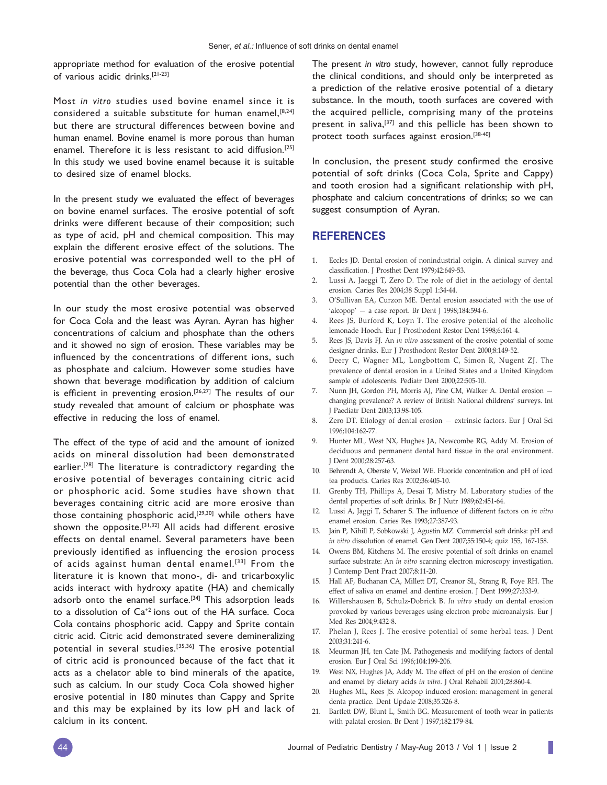appropriate method for evaluation of the erosive potential of various acidic drinks.[21-23]

Most *in vitro* studies used bovine enamel since it is considered a suitable substitute for human enamel, [8,24] but there are structural differences between bovine and human enamel. Bovine enamel is more porous than human enamel. Therefore it is less resistant to acid diffusion.[25] In this study we used bovine enamel because it is suitable to desired size of enamel blocks.

In the present study we evaluated the effect of beverages on bovine enamel surfaces. The erosive potential of soft drinks were different because of their composition; such as type of acid, pH and chemical composition. This may explain the different erosive effect of the solutions. The erosive potential was corresponded well to the pH of the beverage, thus Coca Cola had a clearly higher erosive potential than the other beverages.

In our study the most erosive potential was observed for Coca Cola and the least was Ayran. Ayran has higher concentrations of calcium and phosphate than the others and it showed no sign of erosion. These variables may be influenced by the concentrations of different ions, such as phosphate and calcium. However some studies have shown that beverage modification by addition of calcium is efficient in preventing erosion.<sup>[26,27]</sup> The results of our study revealed that amount of calcium or phosphate was effective in reducing the loss of enamel.

The effect of the type of acid and the amount of ionized acids on mineral dissolution had been demonstrated earlier.[28] The literature is contradictory regarding the erosive potential of beverages containing citric acid or phosphoric acid. Some studies have shown that beverages containing citric acid are more erosive than those containing phosphoric acid, $[29,30]$  while others have shown the opposite.<sup>[31,32]</sup> All acids had different erosive effects on dental enamel. Several parameters have been previously identified as influencing the erosion process of acids against human dental enamel.<sup>[33]</sup> From the literature it is known that mono-, di- and tricarboxylic acids interact with hydroxy apatite (HA) and chemically adsorb onto the enamel surface.<sup>[34]</sup> This adsorption leads to a dissolution of Ca+2 ions out of the HA surface. Coca Cola contains phosphoric acid. Cappy and Sprite contain citric acid. Citric acid demonstrated severe demineralizing potential in several studies.[35,36] The erosive potential of citric acid is pronounced because of the fact that it acts as a chelator able to bind minerals of the apatite, such as calcium. In our study Coca Cola showed higher erosive potential in 180 minutes than Cappy and Sprite and this may be explained by its low pH and lack of calcium in its content.

The present *in vitro* study, however, cannot fully reproduce the clinical conditions, and should only be interpreted as a prediction of the relative erosive potential of a dietary substance. In the mouth, tooth surfaces are covered with the acquired pellicle, comprising many of the proteins present in saliva,<sup>[37]</sup> and this pellicle has been shown to protect tooth surfaces against erosion.[38-40]

In conclusion, the present study confirmed the erosive potential of soft drinks (Coca Cola, Sprite and Cappy) and tooth erosion had a significant relationship with pH, phosphate and calcium concentrations of drinks; so we can suggest consumption of Ayran.

## **REFERENCES**

- 1. Eccles JD. Dental erosion of nonindustrial origin. A clinical survey and classification. J Prosthet Dent 1979;42:649-53.
- 2. Lussi A, Jaeggi T, Zero D. The role of diet in the aetiology of dental erosion. Caries Res 2004;38 Suppl 1:34-44.
- 3. O'Sullivan EA, Curzon ME. Dental erosion associated with the use of 'alcopop' — a case report. Br Dent J 1998;184:594-6.
- 4. Rees JS, Burford K, Loyn T. The erosive potential of the alcoholic lemonade Hooch. Eur J Prosthodont Restor Dent 1998;6:161-4.
- 5. Rees JS, Davis FJ. An *in vitro* assessment of the erosive potential of some designer drinks. Eur J Prosthodont Restor Dent 2000;8:149-52.
- 6. Deery C, Wagner ML, Longbottom C, Simon R, Nugent ZJ. The prevalence of dental erosion in a United States and a United Kingdom sample of adolescents. Pediatr Dent 2000;22:505-10.
- 7. Nunn JH, Gordon PH, Morris AJ, Pine CM, Walker A. Dental erosion changing prevalence? A review of British National childrens' surveys. Int J Paediatr Dent 2003;13:98-105.
- 8. Zero DT. Etiology of dental erosion extrinsic factors. Eur J Oral Sci 1996;104:162-77.
- 9. Hunter ML, West NX, Hughes JA, Newcombe RG, Addy M. Erosion of deciduous and permanent dental hard tissue in the oral environment. J Dent 2000;28:257-63.
- 10. Behrendt A, Oberste V, Wetzel WE. Fluoride concentration and pH of iced tea products. Caries Res 2002;36:405-10.
- 11. Grenby TH, Phillips A, Desai T, Mistry M. Laboratory studies of the dental properties of soft drinks. Br J Nutr 1989;62:451-64.
- 12. Lussi A, Jaggi T, Scharer S. The influence of different factors on *in vitro* enamel erosion. Caries Res 1993;27:387-93.
- 13. Jain P, Nihill P, Sobkowski J, Agustin MZ. Commercial soft drinks: pH and *in vitro* dissolution of enamel. Gen Dent 2007;55:150-4; quiz 155, 167-158.
- 14. Owens BM, Kitchens M. The erosive potential of soft drinks on enamel surface substrate: An *in vitro* scanning electron microscopy investigation. J Contemp Dent Pract 2007;8:11-20.
- 15. Hall AF, Buchanan CA, Millett DT, Creanor SL, Strang R, Foye RH. The effect of saliva on enamel and dentine erosion. J Dent 1999;27:333-9.
- 16. Willershausen B, Schulz-Dobrick B. *In vitro* study on dental erosion provoked by various beverages using electron probe microanalysis. Eur J Med Res 2004;9:432-8.
- 17. Phelan J, Rees J. The erosive potential of some herbal teas. J Dent 2003;31:241-6.
- 18. Meurman JH, ten Cate JM. Pathogenesis and modifying factors of dental erosion. Eur J Oral Sci 1996;104:199-206.
- 19. West NX, Hughes JA, Addy M. The effect of pH on the erosion of dentine and enamel by dietary acids *in vitro*. J Oral Rehabil 2001;28:860-4.
- 20. Hughes ML, Rees JS. Alcopop induced erosion: management in general denta practice. Dent Update 2008;35:326-8.
- 21. Bartlett DW, Blunt L, Smith BG. Measurement of tooth wear in patients with palatal erosion. Br Dent J 1997;182:179-84.